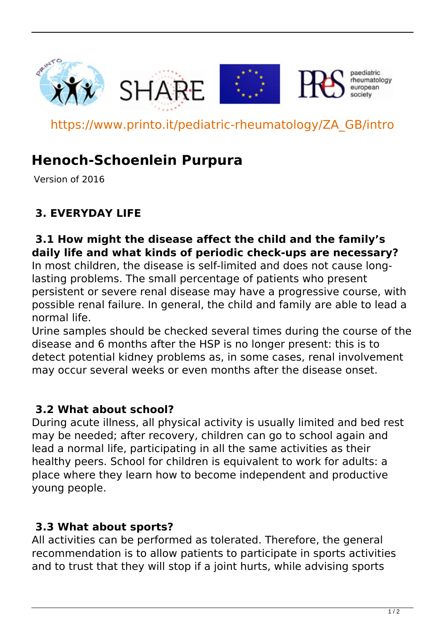

https://www.printo.it/pediatric-rheumatology/ZA\_GB/intro

# **Henoch-Schoenlein Purpura**

Version of 2016

# **3. EVERYDAY LIFE**

#### **3.1 How might the disease affect the child and the family's daily life and what kinds of periodic check-ups are necessary?**

In most children, the disease is self-limited and does not cause longlasting problems. The small percentage of patients who present persistent or severe renal disease may have a progressive course, with possible renal failure. In general, the child and family are able to lead a normal life.

Urine samples should be checked several times during the course of the disease and 6 months after the HSP is no longer present: this is to detect potential kidney problems as, in some cases, renal involvement may occur several weeks or even months after the disease onset.

#### **3.2 What about school?**

During acute illness, all physical activity is usually limited and bed rest may be needed; after recovery, children can go to school again and lead a normal life, participating in all the same activities as their healthy peers. School for children is equivalent to work for adults: a place where they learn how to become independent and productive young people.

## **3.3 What about sports?**

All activities can be performed as tolerated. Therefore, the general recommendation is to allow patients to participate in sports activities and to trust that they will stop if a joint hurts, while advising sports